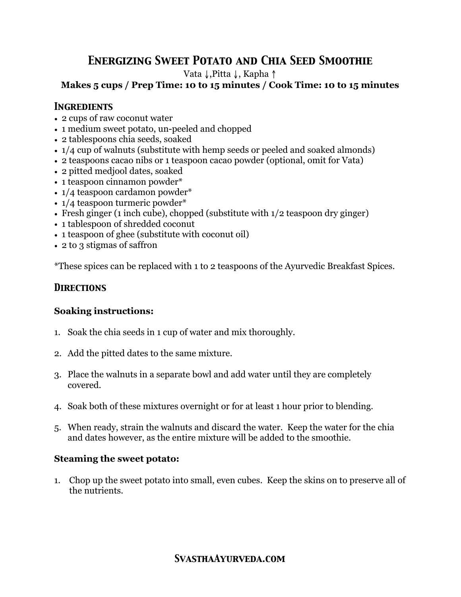# *Energizing Sweet Potato and Chia Seed Smoothie*

Vata ↓,Pitta ↓, Kapha ↑

### **Makes 5 cups / Prep Time: 10 to 15 minutes / Cook Time: 10 to 15 minutes**

### *Ingredients*

- 2 cups of raw coconut water
- 1 medium sweet potato, un-peeled and chopped
- 2 tablespoons chia seeds, soaked
- 1/4 cup of walnuts (substitute with hemp seeds or peeled and soaked almonds)
- 2 teaspoons cacao nibs or 1 teaspoon cacao powder (optional, omit for Vata)
- 2 pitted medjool dates, soaked
- 1 teaspoon cinnamon powder\*
- $1/4$  teaspoon cardamon powder\*
- $1/4$  teaspoon turmeric powder\*
- Fresh ginger (1 inch cube), chopped (substitute with  $1/2$  teaspoon dry ginger)
- 1 tablespoon of shredded coconut
- 1 teaspoon of ghee (substitute with coconut oil)
- 2 to 3 stigmas of saffron

\*These spices can be replaced with 1 to 2 teaspoons of the Ayurvedic Breakfast Spices.

# *Directions*

# **Soaking instructions:**

- 1. Soak the chia seeds in 1 cup of water and mix thoroughly.
- 2. Add the pitted dates to the same mixture.
- 3. Place the walnuts in a separate bowl and add water until they are completely covered.
- 4. Soak both of these mixtures overnight or for at least 1 hour prior to blending.
- 5. When ready, strain the walnuts and discard the water. Keep the water for the chia and dates however, as the entire mixture will be added to the smoothie.

# **Steaming the sweet potato:**

1. Chop up the sweet potato into small, even cubes. Keep the skins on to preserve all of the nutrients.